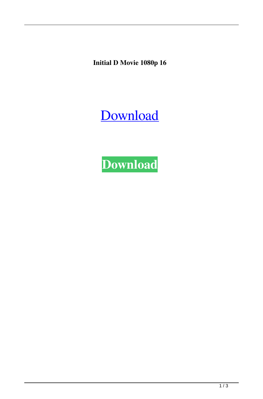**Initial D Movie 1080p 16**

[Download](http://evacdir.com/elder/ZG93bmxvYWR8N2l5TW1kNmVueDhNVFkxTWpjME1EZzJObng4TWpVM05IeDhLRTBwSUhKbFlXUXRZbXh2WnlCYlJtRnpkQ0JIUlU1ZA/kermani/aW5pdGlhbCBkIG1vdmllIDEwODBwIDE2aW5.birddogbowling.qnhl/omewhere/remodelling)